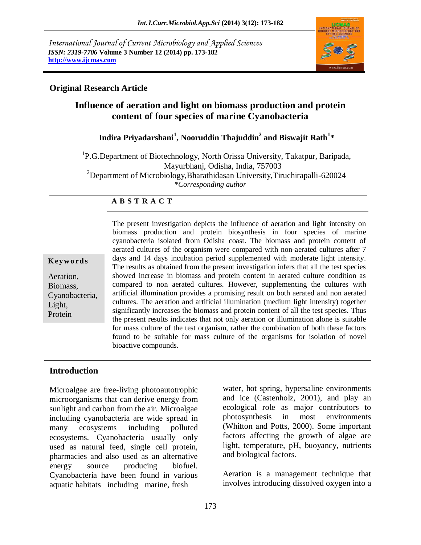*International Journal of Current Microbiology and Applied Sciences ISSN: 2319-7706* **Volume 3 Number 12 (2014) pp. 173-182 http://www.ijcmas.com** 



## **Original Research Article**

# **Influence of aeration and light on biomass production and protein content of four species of marine Cyanobacteria**

## **Indira Priyadarshani<sup>1</sup> , Nooruddin Thajuddin<sup>2</sup> and Biswajit Rath<sup>1</sup> \***

<sup>1</sup>P.G.Department of Biotechnology, North Orissa University, Takatpur, Baripada, Mayurbhanj, Odisha, India, 757003 <sup>2</sup>Department of Microbiology,Bharathidasan University,Tiruchirapalli-620024 *\*Corresponding author* 

### **A B S T R A C T**

#### **K ey w o rd s**

Aeration, Biomass, Cyanobacteria, Light, Protein

The present investigation depicts the influence of aeration and light intensity on biomass production and protein biosynthesis in four species of marine cyanobacteria isolated from Odisha coast. The biomass and protein content of aerated cultures of the organism were compared with non-aerated cultures after 7 days and 14 days incubation period supplemented with moderate light intensity. The results as obtained from the present investigation infers that all the test species showed increase in biomass and protein content in aerated culture condition as compared to non aerated cultures. However, supplementing the cultures with artificial illumination provides a promising result on both aerated and non aerated cultures. The aeration and artificial illumination (medium light intensity) together significantly increases the biomass and protein content of all the test species. Thus the present results indicates that not only aeration or illumination alone is suitable for mass culture of the test organism, rather the combination of both these factors found to be suitable for mass culture of the organisms for isolation of novel bioactive compounds.

## **Introduction**

Microalgae are free-living photoautotrophic microorganisms that can derive energy from sunlight and carbon from the air. Microalgae including cyanobacteria are wide spread in many ecosystems including polluted ecosystems. Cyanobacteria usually only used as natural feed, single cell protein, pharmacies and also used as an alternative energy source producing biofuel. Cyanobacteria have been found in various aquatic habitats including marine, fresh

water, hot spring, hypersaline environments and ice (Castenholz, 2001), and play an ecological role as major contributors to photosynthesis in most environments (Whitton and Potts, 2000). Some important factors affecting the growth of algae are light, temperature, pH, buoyancy, nutrients and biological factors.

Aeration is a management technique that involves introducing dissolved oxygen into a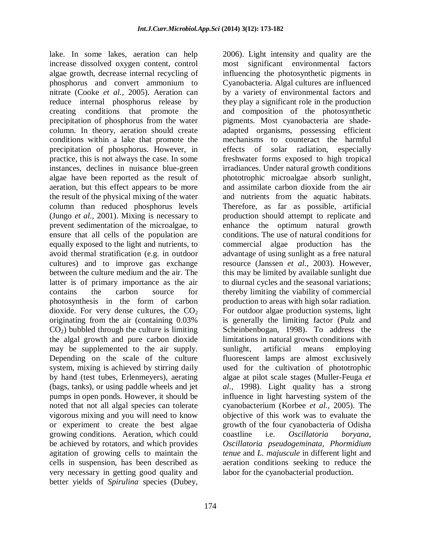lake. In some lakes, aeration can help increase dissolved oxygen content, control algae growth, decrease internal recycling of phosphorus and convert ammonium to nitrate (Cooke *et al.,* 2005). Aeration can reduce internal phosphorus release by creating conditions that promote the precipitation of phosphorus from the water column. In theory, aeration should create conditions within a lake that promote the precipitation of phosphorus. However, in practice, this is not always the case. In some instances, declines in nuisance blue-green algae have been reported as the result of aeration, but this effect appears to be more the result of the physical mixing of the water column than reduced phosphorus levels (Jungo *et al.,* 2001). Mixing is necessary to prevent sedimentation of the microalgae, to ensure that all cells of the population are equally exposed to the light and nutrients, to avoid thermal stratification (e.g. in outdoor cultures) and to improve gas exchange between the culture medium and the air. The latter is of primary importance as the air contains the carbon source for photosynthesis in the form of carbon dioxide. For very dense cultures, the  $CO<sub>2</sub>$ originating from the air (containing 0.03%  $CO<sub>2</sub>$ ) bubbled through the culture is limiting the algal growth and pure carbon dioxide may be supplemented to the air supply. Depending on the scale of the culture system, mixing is achieved by stirring daily by hand (test tubes, Erlenmeyers), aerating (bags, tanks), or using paddle wheels and jet pumps in [open ponds. H](http://www.growing-algae.com/growing-algae.html)owever, it should be noted that not all algal species can tolerate vigorous mixing and you will need to know or experiment to create the best algae growing conditions. Aeration, which could be achieved by rotators, and which provides agitation of growing cells to maintain the cells in suspension, has been described as very necessary in getting good quality and better yields of *Spirulina* species (Dubey,

2006). Light intensity and quality are the most significant environmental factors influencing the photosynthetic pigments in Cyanobacteria. Algal cultures are influenced by a variety of environmental factors and they play a significant role in the production and composition of the photosynthetic pigments. Most cyanobacteria are shadeadapted organisms, possessing efficient mechanisms to counteract the harmful effects of solar radiation, especially freshwater forms exposed to high tropical irradiances. Under natural growth conditions phototrophic microalgae absorb sunlight, and assimilate carbon dioxide from the air and nutrients from the aquatic habitats. Therefore, as far as possible, artificial production should attempt to replicate and enhance the optimum natural growth conditions. The use of natural conditions for commercial algae production has the advantage of using sunlight as a free natural resource (Janssen *et al.,* 2003). However, this may be limited by available sunlight due to diurnal cycles and the seasonal variations; thereby limiting the viability of commercial production to areas with high solar radiation. For outdoor algae production systems, light is generally the limiting factor (Pulz and Scheinbenbogan, 1998). To address the limitations in natural growth conditions with sunlight, artificial means employing fluorescent lamps are almost exclusively used for the cultivation of phototrophic algae at pilot scale stages (Muller-Feuga *et al.,* 1998). Light quality has a strong influence in light harvesting system of the cyanobacterium (Korbee *et al.,* 2005). The objective of this work was to evaluate the growth of the four cyanobacteria of Odisha coastline i.e. *Oscillatoria boryana, Oscillatoria pseudogeminata, Phormidium tenue* and *L. majuscule* in different light and aeration conditions seeking to reduce the labor for the cyanobacterial production.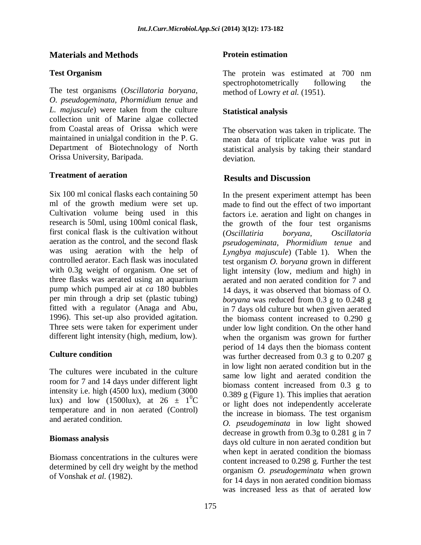## **Materials and Methods**

## **Test Organism**

The test organisms (*Oscillatoria boryana, O. pseudogeminata, Phormidium tenue* and *L. majuscule*) were taken from the culture collection unit of Marine algae collected from Coastal areas of Orissa which were maintained in unialgal condition in the P. G. Department of Biotechnology of North Orissa University, Baripada.

#### **Treatment of aeration**

Six 100 ml conical flasks each containing 50 ml of the growth medium were set up. Cultivation volume being used in this research is 50ml, using 100ml conical flask, first conical flask is the cultivation without aeration as the control, and the second flask was using aeration with the help of controlled aerator. Each flask was inoculated with 0.3g weight of organism. One set of three flasks was aerated using an aquarium pump which pumped air at *ca* 180 bubbles per min through a drip set (plastic tubing) fitted with a regulator (Anaga and Abu, 1996). This set-up also provided agitation. Three sets were taken for experiment under different light intensity (high, medium, low).

#### **Culture condition**

The cultures were incubated in the culture room for 7 and 14 days under different light intensity i.e. high (4500 lux), medium (3000 lux) and low (1500lux), at  $26 \pm 10^{\circ}$ C temperature and in non aerated (Control) and aerated condition.

#### **Biomass analysis**

Biomass concentrations in the cultures were determined by cell dry weight by the method of Vonshak *et al.* (1982).

### **Protein estimation**

The protein was estimated at 700 nm spectrophotometrically following the method of Lowry *et al.* (1951).

### **Statistical analysis**

The observation was taken in triplicate. The mean data of triplicate value was put in statistical analysis by taking their standard deviation.

### **Results and Discussion**

In the present experiment attempt has been made to find out the effect of two important factors i.e. aeration and light on changes in the growth of the four test organisms (*Oscillatiria boryana*, *Oscillatoria pseudogeminata*, *Phormidium tenue* and *Lyngbya majuscule*) (Table 1). When the test organism *O. boryana* grown in different light intensity (low, medium and high) in aerated and non aerated condition for 7 and 14 days, it was observed that biomass of O*. boryana* was reduced from 0.3 g to 0.248 g in 7 days old culture but when given aerated the biomass content increased to 0.290 g under low light condition. On the other hand when the organism was grown for further period of 14 days then the biomass content was further decreased from 0.3 g to 0.207 g in low light non aerated condition but in the same low light and aerated condition the biomass content increased from 0.3 g to 0.389 g (Figure 1). This implies that aeration or light does not independently accelerate the increase in biomass. The test organism *O. pseudogeminata* in low light showed decrease in growth from 0.3g to 0.281 g in 7 days old culture in non aerated condition but when kept in aerated condition the biomass content increased to 0.298 g. Further the test organism *O. pseudogeminata* when grown for 14 days in non aerated condition biomass was increased less as that of aerated low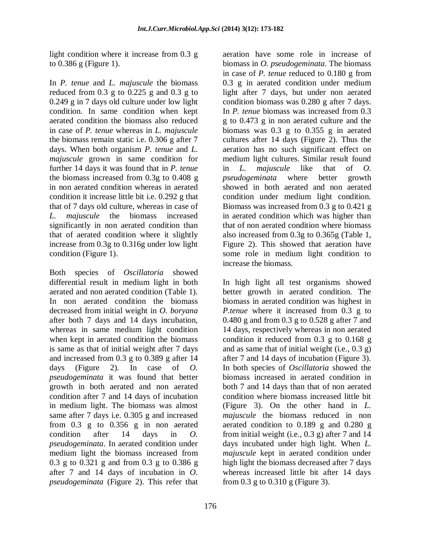light condition where it increase from 0.3 g to 0.386 g (Figure 1).

In *P. tenue* and *L. majuscule* the biomass reduced from  $0.3$  g to  $0.225$  g and  $0.3$  g to 0.249 g in 7 days old culture under low light condition. In same condition when kept aerated condition the biomass also reduced in case of *P. tenue* whereas in *L. majuscule* the biomass remain static i.e. 0.306 g after 7 days. When both organism *P. tenue* and *L. majuscule* grown in same condition for further 14 days it was found that in *P. tenue* the biomass increased from 0.3g to 0.408 g in non aerated condition whereas in aerated condition it increase little bit i.e. 0.292 g that that of 7 days old culture, whereas in case of *L. majuscule* the biomass increased significantly in non aerated condition than that of aerated condition where it slightly increase from 0.3g to 0.316g under low light condition (Figure 1).

Both species of *Oscillatoria* showed differential result in medium light in both aerated and non aerated condition (Table 1). In non aerated condition the biomass decreased from initial weight in *O. boryana* after both 7 days and 14 days incubation, whereas in same medium light condition when kept in aerated condition the biomass is same as that of initial weight after 7 days and increased from 0.3 g to 0.389 g after 14 days (Figure 2). In case of *O. pseudogeminata* it was found that better growth in both aerated and non aerated condition after 7 and 14 days of incubation in medium light. The biomass was almost same after 7 days i.e. 0.305 g and increased from 0.3 g to 0.356 g in non aerated condition after 14 days in *O. pseudogeminata*. In aerated condition under medium light the biomass increased from 0.3 g to 0.321 g and from 0.3 g to 0.386 g after 7 and 14 days of incubation in *O. pseudogeminata* (Figure 2). This refer that

aeration have some role in increase of biomass in *O. pseudogeminata*. The biomass in case of *P. tenue* reduced to 0.180 g from 0.3 g in aerated condition under medium light after 7 days, but under non aerated condition biomass was 0.280 g after 7 days. In *P. tenue* biomass was increased from 0.3 g to 0.473 g in non aerated culture and the biomass was 0.3 g to 0.355 g in aerated cultures after 14 days (Figure 2). Thus the aeration has no such significant effect on medium light cultures. Similar result found in *L. majuscule* like that of *O. pseudogeminata* where better growth showed in both aerated and non aerated condition under medium light condition. Biomass was increased from 0.3 g to 0.421 g in aerated condition which was higher than that of non aerated condition where biomass also increased from 0.3g to 0.365g (Table 1, Figure 2). This showed that aeration have some role in medium light condition to increase the biomass.

In high light all test organisms showed better growth in aerated condition. The biomass in aerated condition was highest in *P.tenue* where it increased from 0.3 g to 0.480 g and from 0.3 g to 0.528 g after 7 and 14 days, respectively whereas in non aerated condition it reduced from 0.3 g to 0.168 g and as same that of initial weight (i.e., 0.3 g) after 7 and 14 days of incubation (Figure 3). In both species of *Oscillatoria* showed the biomass increased in aerated condition in both 7 and 14 days than that of non aerated condition where biomass increased little bit (Figure 3). On the other hand in *L. majuscule* the biomass reduced in non aerated condition to 0.189 g and 0.280 g from initial weight (i.e.,  $(0.3 \text{ g})$  after 7 and 14 days incubated under high light. When *L. majuscule* kept in aerated condition under high light the biomass decreased after 7 days whereas increased little bit after 14 days from 0.3 g to 0.310 g (Figure 3).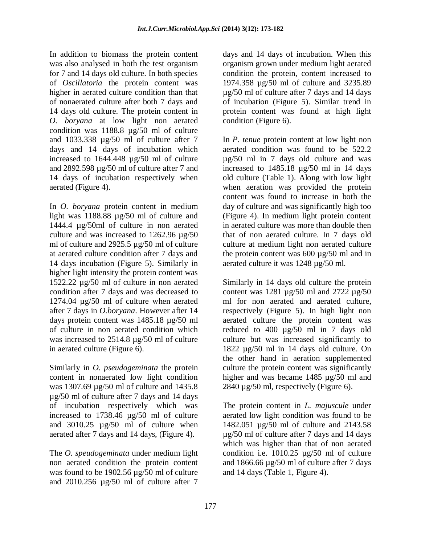In addition to biomass the protein content was also analysed in both the test organism for 7 and 14 days old culture. In both species of *Oscillatoria* the protein content was higher in aerated culture condition than that of nonaerated culture after both 7 days and 14 days old culture. The protein content in *O. boryana* at low light non aerated condition was 1188.8 µg/50 ml of culture and 1033.338 µg/50 ml of culture after 7 days and 14 days of incubation which increased to 1644.448 µg/50 ml of culture and 2892.598 µg/50 ml of culture after 7 and 14 days of incubation respectively when aerated (Figure 4).

In *O. boryana* protein content in medium light was 1188.88 µg/50 ml of culture and 1444.4 µg/50ml of culture in non aerated culture and was increased to 1262.96 µg/50 ml of culture and 2925.5 µg/50 ml of culture at aerated culture condition after 7 days and 14 days incubation (Figure 5). Similarly in higher light intensity the protein content was 1522.22 µg/50 ml of culture in non aerated condition after 7 days and was decreased to 1274.04 µg/50 ml of culture when aerated after 7 days in *O.boryana*. However after 14 days protein content was 1485.18 µg/50 ml of culture in non aerated condition which was increased to 2514.8  $\mu$ g/50 ml of culture in aerated culture (Figure 6).

Similarly in *O. pseudogeminata* the protein content in nonaerated low light condition was 1307.69 µg/50 ml of culture and 1435.8 µg/50 ml of culture after 7 days and 14 days of incubation respectively which was increased to 1738.46 µg/50 ml of culture and 3010.25 µg/50 ml of culture when aerated after 7 days and 14 days, (Figure 4).

The *O. speudogeminata* under medium light non aerated condition the protein content was found to be 1902.56 µg/50 ml of culture and 2010.256 µg/50 ml of culture after 7 days and 14 days of incubation. When this organism grown under medium light aerated condition the protein, content increased to 1974.358 µg/50 ml of culture and 3235.89 µg/50 ml of culture after 7 days and 14 days of incubation (Figure 5). Similar trend in protein content was found at high light condition (Figure 6).

In *P. tenue* protein content at low light non aerated condition was found to be 522.2 µg/50 ml in 7 days old culture and was increased to 1485.18 µg/50 ml in 14 days old culture (Table 1). Along with low light when aeration was provided the protein content was found to increase in both the day of culture and was significantly high too (Figure 4). In medium light protein content in aerated culture was more than double then that of non aerated culture. In 7 days old culture at medium light non aerated culture the protein content was 600 µg/50 ml and in aerated culture it was 1248 µg/50 ml.

Similarly in 14 days old culture the protein content was 1281 µg/50 ml and 2722 µg/50 ml for non aerated and aerated culture, respectively (Figure 5). In high light non aerated culture the protein content was reduced to 400 µg/50 ml in 7 days old culture but was increased significantly to 1822 µg/50 ml in 14 days old culture. On the other hand in aeration supplemented culture the protein content was significantly higher and was became 1485  $\mu$ g/50 ml and 2840 µg/50 ml, respectively (Figure 6).

The protein content in *L. majuscule* under aerated low light condition was found to be 1482.051 µg/50 ml of culture and 2143.58 µg/50 ml of culture after 7 days and 14 days which was higher than that of non aerated condition i.e. 1010.25 µg/50 ml of culture and 1866.66 µg/50 ml of culture after 7 days and 14 days (Table 1, Figure 4).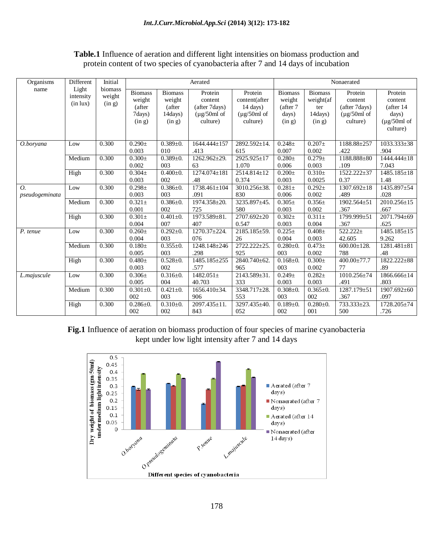## **Table.1** Influence of aeration and different light intensities on biomass production and protein content of two species of cyanobacteria after 7 and 14 days of incubation

| Organisms                          | Different<br>Light<br>intensity<br>(in lux) | Initial<br>biomass<br>weight<br>(in g) | Aerated                                                |                                                         |                                                                              |                                                                                          | Nonaerated                                              |                                                         |                                                                     |                                                                                   |
|------------------------------------|---------------------------------------------|----------------------------------------|--------------------------------------------------------|---------------------------------------------------------|------------------------------------------------------------------------------|------------------------------------------------------------------------------------------|---------------------------------------------------------|---------------------------------------------------------|---------------------------------------------------------------------|-----------------------------------------------------------------------------------|
| name                               |                                             |                                        | <b>Biomass</b><br>weight<br>(after<br>7days)<br>(in g) | <b>Biomass</b><br>weight<br>(after<br>14days)<br>(in g) | Protein<br>content<br>(after 7days)<br>$(\mu g/50ml \text{ of }$<br>culture) | Protein<br>content(after<br>$14 \text{ days}$ )<br>$(\mu g/50ml \text{ of }$<br>culture) | <b>Biomass</b><br>weight<br>(after 7<br>days)<br>(in g) | <b>Biomass</b><br>weight(af<br>ter<br>14days)<br>(in g) | Protein<br>content<br>(after 7days)<br>$(\mu$ g/50ml of<br>culture) | Protein<br>content<br>(after 14<br>days)<br>$(\mu g/50ml \text{ of }$<br>culture) |
| O.boryana                          | Low                                         | 0.300                                  | $0.290 \pm$<br>0.003                                   | $0.389 + 0.$<br>010                                     | 1644.444±157<br>.413                                                         | 2892.592±14.<br>615                                                                      | $0.248 \pm$<br>0.007                                    | $0.207\pm$<br>0.002                                     | 1188.88±257<br>.422                                                 | 1033.333±38<br>.904                                                               |
|                                    | Medium                                      | 0.300                                  | $0.300 \pm$<br>0.002                                   | $0.389 + 0.$<br>003                                     | $1262.962 \pm 29.$<br>63                                                     | 2925.925±17<br>1.070                                                                     | $0.280 \pm$<br>0.006                                    | $0.279 \pm$<br>0.003                                    | 1188.888±80<br>.109                                                 | 1444.444±18<br>7.043                                                              |
|                                    | High                                        | 0.300                                  | $0.304\pm$<br>0.003                                    | $0.400 \pm 0.$<br>002                                   | 1274.074±181<br>.48                                                          | 2514.814±12<br>0.374                                                                     | $0.200 \pm$<br>0.003                                    | $0.310\pm$<br>0.0025                                    | 1522.222±37<br>0.37                                                 | $1485.185 \pm 18$<br>1.48                                                         |
| $\overline{O}$ .<br>pseudogeminata | Low                                         | 0.300                                  | $0.298 \pm$<br>0.003                                   | $0.386 \pm 0.$<br>003                                   | $1738.461 \pm 104$<br>.091                                                   | 3010.256±38.<br>830                                                                      | $0.281 \pm$<br>0.006                                    | $0.292 +$<br>0.002                                      | 1307.692±18<br>.489                                                 | 1435.897±54<br>.028                                                               |
|                                    | Medium                                      | 0.300                                  | $0.321 \pm$<br>0.001                                   | $0.386 \pm 0.$<br>002                                   | 1974.358±20.<br>725                                                          | 3235.897±45.<br>580                                                                      | $0.305\pm$<br>0.003                                     | $0.356 \pm$<br>0.002                                    | 1902.564±51<br>.367                                                 | 2010.256±15<br>.667                                                               |
|                                    | High                                        | 0.300                                  | $0.301 \pm$<br>0.004                                   | $0.401 \pm 0.$<br>007                                   | 1973.589±81.<br>407                                                          | 2707.692±20<br>0.547                                                                     | $0.302 +$<br>0.003                                      | $0.311 \pm$<br>0.004                                    | 1799.999±51<br>.367                                                 | 2071.794±69<br>.625                                                               |
| P. tenue                           | Low                                         | 0.300                                  | $0.260 \pm$<br>0.004                                   | $0.292 \pm 0.$<br>003                                   | $1270.37 \pm 224.$<br>076                                                    | 2185.185±59.<br>26                                                                       | $0.225 \pm$<br>0.004                                    | $0.408 \pm$<br>0.003                                    | $522.222 \pm$<br>42.605                                             | $1485.185 \pm 15$<br>9.262                                                        |
|                                    | Medium                                      | 0.300                                  | $0.180 +$<br>0.005                                     | $0.355 \pm 0.$<br>003                                   | 1248.148±246<br>.298                                                         | 2722.222±25.<br>925                                                                      | $0.280 \pm 0.$<br>003                                   | $0.473+$<br>0.002                                       | $600.00 \pm 128.$<br>788                                            | $1281.481 \pm 81$<br>.48                                                          |
|                                    | High                                        | 0.300                                  | $0.480 \pm$<br>0.003                                   | $0.528 \pm 0.$<br>002                                   | 1485.185±255<br>.577                                                         | 2840.740±62.<br>965                                                                      | $0.168 \pm 0.$<br>003                                   | $0.300 \pm$<br>0.002                                    | 400.00±77.7<br>77                                                   | 1822.222±88<br>.89                                                                |
| L.majuscule                        | Low                                         | 0.300                                  | $0.306\pm$<br>0.005                                    | $0.316 \pm 0.$<br>004                                   | $1482.051 \pm$<br>40.703                                                     | 2143.589±31.<br>333                                                                      | $0.249 \pm$<br>0.003                                    | $0.282 +$<br>0.003                                      | 1010.256±74<br>.491                                                 | 1866.666±14<br>.803                                                               |
|                                    | Medium                                      | 0.300                                  | $0.301 \pm 0.$<br>002                                  | $0.421 \pm 0.$<br>003                                   | 1656.410±34.<br>906                                                          | 3348.717±28.<br>553                                                                      | $0.308 \pm 0.$<br>003                                   | $0.365 \pm 0.$<br>002                                   | 1287.179±51<br>.367                                                 | 1907.692±60<br>.097                                                               |
|                                    | High                                        | 0.300                                  | $0.286 \pm 0.$<br>002                                  | $0.310+0.$<br>002                                       | 2097.435±11.<br>843                                                          | 3297.435±40.<br>052                                                                      | $0.189 + 0.$<br>002                                     | $0.280 + 0.$<br>001                                     | 733.333±23.<br>500                                                  | 1728.205±74<br>.726                                                               |

**Fig.1** Influence of aeration on biomass production of four species of marine cyanobacteria kept under low light intensity after 7 and 14 days

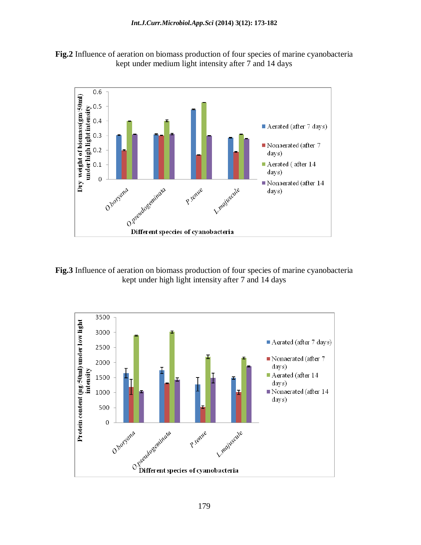**Fig.2** Influence of aeration on biomass production of four species of marine cyanobacteria kept under medium light intensity after 7 and 14 days



**Fig.3** Influence of aeration on biomass production of four species of marine cyanobacteria kept under high light intensity after 7 and 14 days

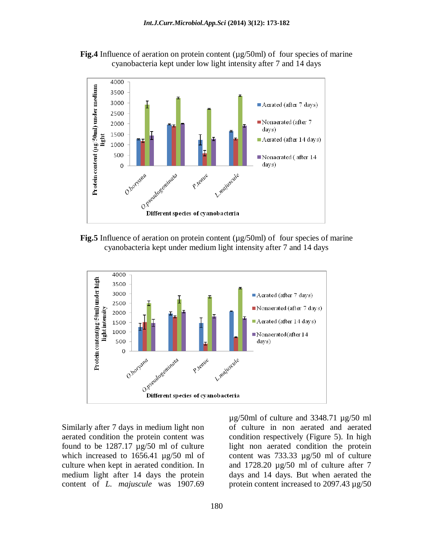



**Fig.5** Influence of aeration on protein content ( $\mu$ g/50ml) of four species of marine cyanobacteria kept under medium light intensity after 7 and 14 days



Similarly after 7 days in medium light non aerated condition the protein content was found to be 1287.17 µg/50 ml of culture which increased to 1656.41  $\mu$ g/50 ml of culture when kept in aerated condition. In medium light after 14 days the protein content of *L. majuscule* was 1907.69

µg/50ml of culture and 3348.71 µg/50 ml of culture in non aerated and aerated condition respectively (Figure 5). In high light non aerated condition the protein content was 733.33 µg/50 ml of culture and 1728.20 µg/50 ml of culture after 7 days and 14 days. But when aerated the protein content increased to 2097.43 µg/50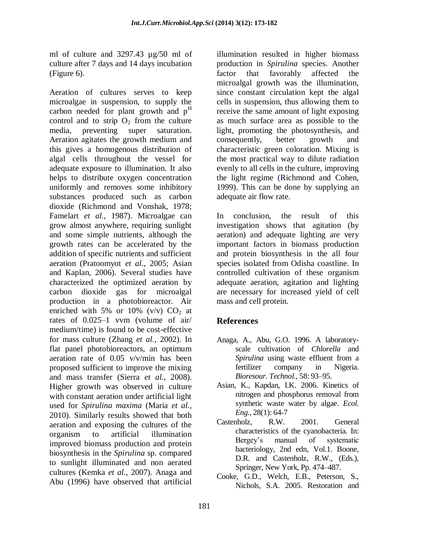ml of culture and 3297.43 µg/50 ml of culture after 7 days and 14 days incubation (Figure 6).

Aeration of cultures serves to keep microalgae in suspension, to supply the carbon needed for plant growth and  $p<sup>H</sup>$ control and to strip  $O_2$  from the culture media, preventing super saturation. Aeration agitates the growth medium and this gives a homogenous distribution of algal cells throughout the vessel for adequate exposure to illumination. It also helps to distribute oxygen concentration uniformly and removes some inhibitory substances produced such as carbon dioxide (Richmond and Vonshak, 1978; Famelart *et al.,* 1987). Microalgae can grow almost anywhere, requiring sunlight and some simple nutrients, although the growth rates can be accelerated by the addition of specific nutrients and sufficient aeration (Pratoomyot *et al.,* 2005; Asian and Kaplan, 2006). Several studies have characterized the optimized aeration by carbon dioxide gas for microalgal production in a photobioreactor. Air enriched with 5% or 10% (v/v)  $CO<sub>2</sub>$  at rates of 0.025–1 vvm (volume of air/ medium/time) is found to be cost-effective for mass culture (Zhang *et al.,* 2002). In flat panel photobioreactors, an optimum aeration rate of 0.05 v/v/min has been proposed sufficient to improve the mixing and mass transfer (Sierra *et al.,* 2008). Higher growth was observed in culture with constant aeration under artificial light used for *Spirulina maxima* (Maria *et al.,* 2010). Similarly results showed that both aeration and exposing the cultures of the organism to artificial illumination improved biomass production and protein biosynthesis in the *Spirulina* sp. compared to sunlight illuminated and non aerated cultures (Kemka *et al.,* 2007). Anaga and Abu (1996) have observed that artificial

illumination resulted in higher biomass production in *Spirulina* species. Another factor that favorably affected the microalgal growth was the illumination, since constant circulation kept the algal cells in suspension, thus allowing them to receive the same amount of light exposing as much surface area as possible to the light, promoting the photosynthesis, and consequently, better growth and characteristic green coloration. Mixing is the most practical way to dilute radiation evenly to all cells in the culture, improving the light regime (Richmond and Cohen, 1999). This can be done by supplying an adequate air flow rate.

In conclusion, the result of this investigation shows that agitation (by aeration) and adequate lighting are very important factors in biomass production and protein biosynthesis in the all four species isolated from Odisha coastline. In controlled cultivation of these organism adequate aeration, agitation and lighting are necessary for increased yield of cell mass and cell protein.

# **References**

- Anaga, A., Abu, G.O. 1996. A laboratoryscale cultivation of *Chlorella* and *Spirulina* using waste effluent from a fertilizer company in Nigeria. *Bioresour. Technol.,* 58: 93–95.
- Asian, K., Kapdan, I.K. 2006. Kinetics of nitrogen and phosphorus removal from synthetic waste water by algae. *Ecol. Eng.,* 28(1): 64-7
- Castenholz, R.W. 2001. General characteristics of the cyanobacteria. In: Bergey's manual of systematic bacteriology, 2nd edn, Vol.1. Boone, D.R. and Castenholz, R.W., (Eds.), Springer, New York, Pp. 474–487.
- Cooke, G.D., Welch, E.B., Peterson, S., Nichols, S.A. 2005. Restoration and